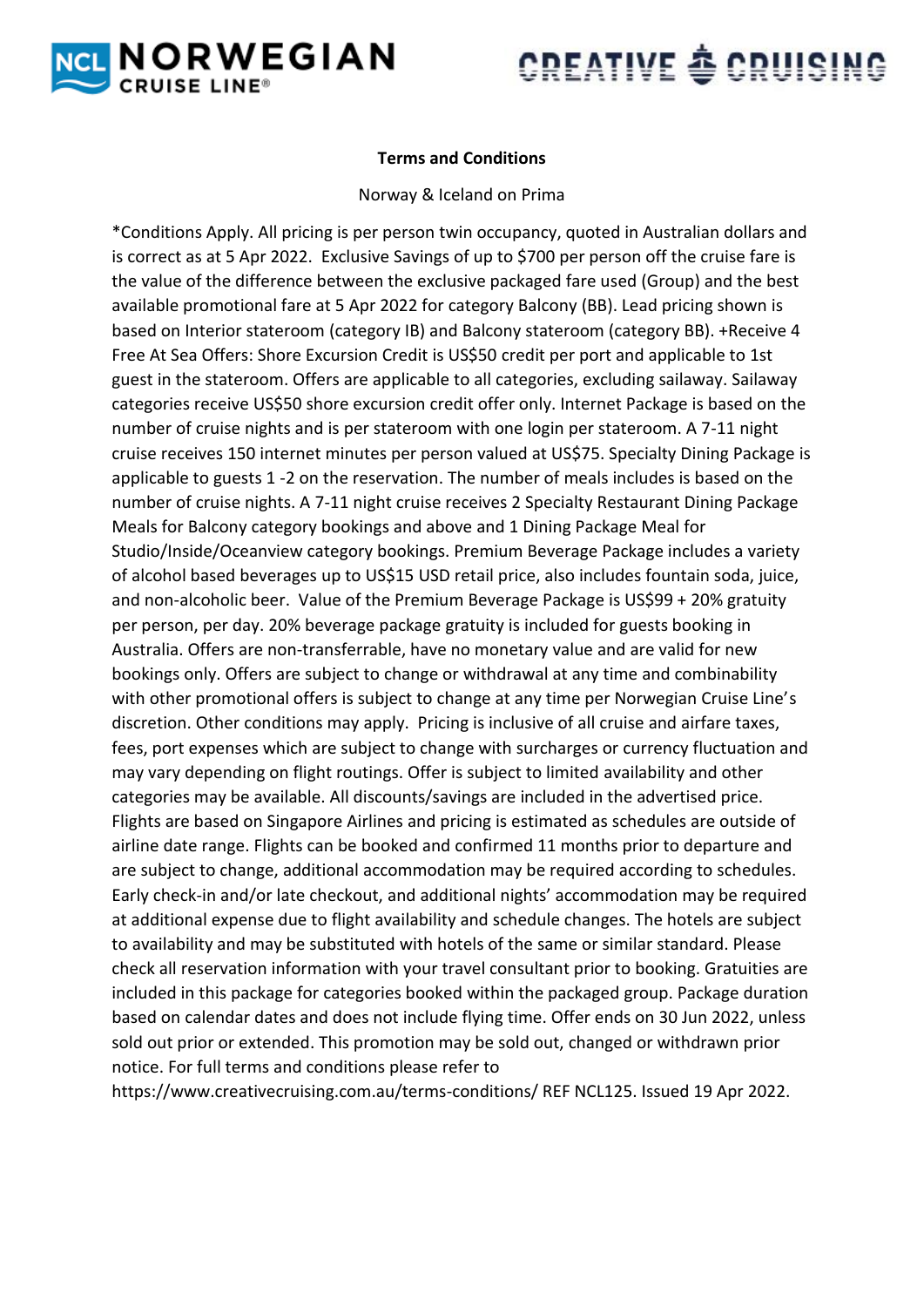



# **Terms and Conditions**

#### Norway & Iceland on Prima

\*Conditions Apply. All pricing is per person twin occupancy, quoted in Australian dollars and is correct as at 5 Apr 2022. Exclusive Savings of up to \$700 per person off the cruise fare is the value of the difference between the exclusive packaged fare used (Group) and the best available promotional fare at 5 Apr 2022 for category Balcony (BB). Lead pricing shown is based on Interior stateroom (category IB) and Balcony stateroom (category BB). +Receive 4 Free At Sea Offers: Shore Excursion Credit is US\$50 credit per port and applicable to 1st guest in the stateroom. Offers are applicable to all categories, excluding sailaway. Sailaway categories receive US\$50 shore excursion credit offer only. Internet Package is based on the number of cruise nights and is per stateroom with one login per stateroom. A 7-11 night cruise receives 150 internet minutes per person valued at US\$75. Specialty Dining Package is applicable to guests 1 -2 on the reservation. The number of meals includes is based on the number of cruise nights. A 7-11 night cruise receives 2 Specialty Restaurant Dining Package Meals for Balcony category bookings and above and 1 Dining Package Meal for Studio/Inside/Oceanview category bookings. Premium Beverage Package includes a variety of alcohol based beverages up to US\$15 USD retail price, also includes fountain soda, juice, and non-alcoholic beer. Value of the Premium Beverage Package is US\$99 + 20% gratuity per person, per day. 20% beverage package gratuity is included for guests booking in Australia. Offers are non-transferrable, have no monetary value and are valid for new bookings only. Offers are subject to change or withdrawal at any time and combinability with other promotional offers is subject to change at any time per Norwegian Cruise Line's discretion. Other conditions may apply. Pricing is inclusive of all cruise and airfare taxes, fees, port expenses which are subject to change with surcharges or currency fluctuation and may vary depending on flight routings. Offer is subject to limited availability and other categories may be available. All discounts/savings are included in the advertised price. Flights are based on Singapore Airlines and pricing is estimated as schedules are outside of airline date range. Flights can be booked and confirmed 11 months prior to departure and are subject to change, additional accommodation may be required according to schedules. Early check-in and/or late checkout, and additional nights' accommodation may be required at additional expense due to flight availability and schedule changes. The hotels are subject to availability and may be substituted with hotels of the same or similar standard. Please check all reservation information with your travel consultant prior to booking. Gratuities are included in this package for categories booked within the packaged group. Package duration based on calendar dates and does not include flying time. Offer ends on 30 Jun 2022, unless sold out prior or extended. This promotion may be sold out, changed or withdrawn prior notice. For full terms and conditions please refer to

https://www.creativecruising.com.au/terms-conditions/ REF NCL125. Issued 19 Apr 2022.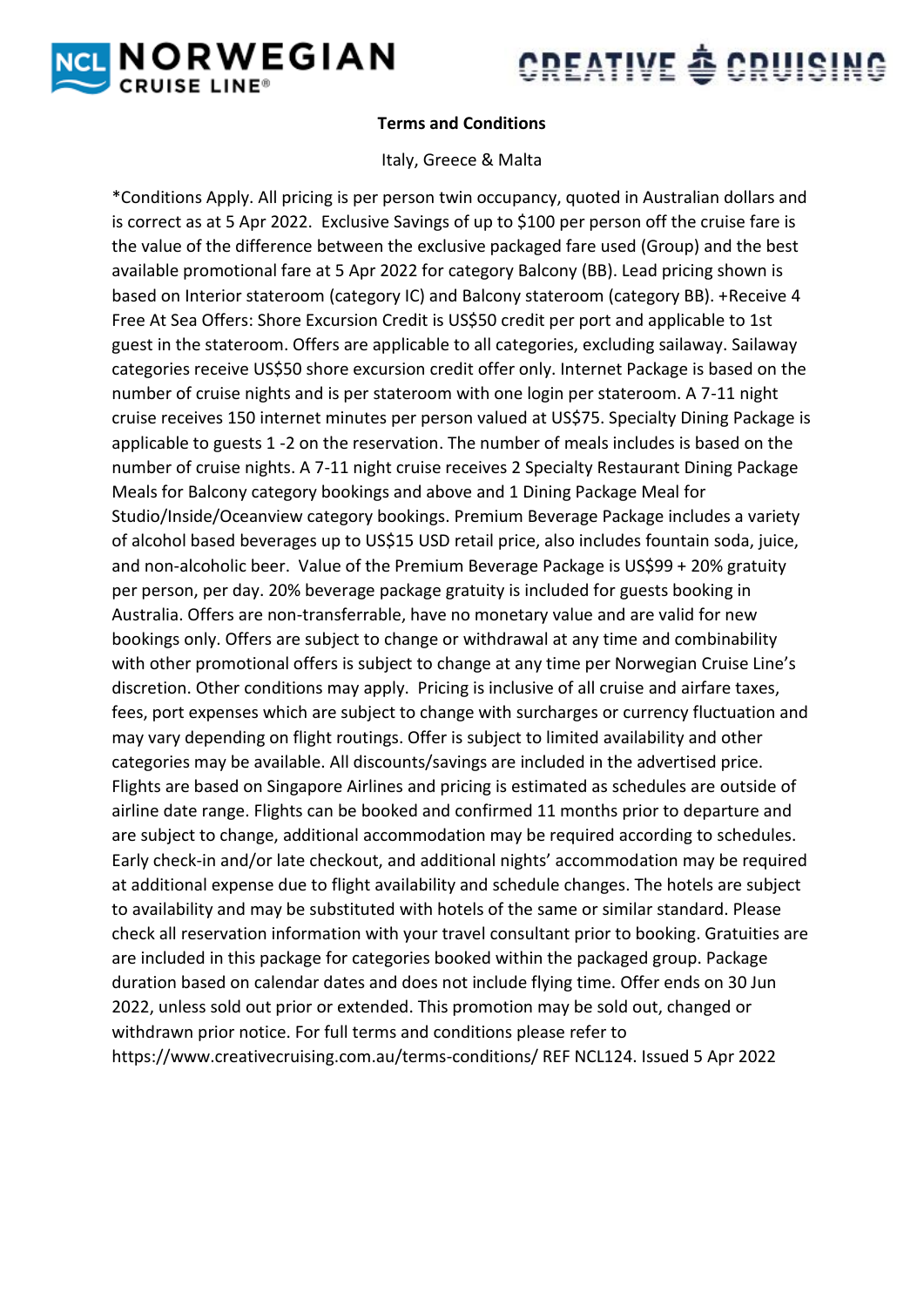



# **Terms and Conditions**

### Italy, Greece & Malta

\*Conditions Apply. All pricing is per person twin occupancy, quoted in Australian dollars and is correct as at 5 Apr 2022. Exclusive Savings of up to \$100 per person off the cruise fare is the value of the difference between the exclusive packaged fare used (Group) and the best available promotional fare at 5 Apr 2022 for category Balcony (BB). Lead pricing shown is based on Interior stateroom (category IC) and Balcony stateroom (category BB). +Receive 4 Free At Sea Offers: Shore Excursion Credit is US\$50 credit per port and applicable to 1st guest in the stateroom. Offers are applicable to all categories, excluding sailaway. Sailaway categories receive US\$50 shore excursion credit offer only. Internet Package is based on the number of cruise nights and is per stateroom with one login per stateroom. A 7-11 night cruise receives 150 internet minutes per person valued at US\$75. Specialty Dining Package is applicable to guests 1 -2 on the reservation. The number of meals includes is based on the number of cruise nights. A 7-11 night cruise receives 2 Specialty Restaurant Dining Package Meals for Balcony category bookings and above and 1 Dining Package Meal for Studio/Inside/Oceanview category bookings. Premium Beverage Package includes a variety of alcohol based beverages up to US\$15 USD retail price, also includes fountain soda, juice, and non-alcoholic beer. Value of the Premium Beverage Package is US\$99 + 20% gratuity per person, per day. 20% beverage package gratuity is included for guests booking in Australia. Offers are non-transferrable, have no monetary value and are valid for new bookings only. Offers are subject to change or withdrawal at any time and combinability with other promotional offers is subject to change at any time per Norwegian Cruise Line's discretion. Other conditions may apply. Pricing is inclusive of all cruise and airfare taxes, fees, port expenses which are subject to change with surcharges or currency fluctuation and may vary depending on flight routings. Offer is subject to limited availability and other categories may be available. All discounts/savings are included in the advertised price. Flights are based on Singapore Airlines and pricing is estimated as schedules are outside of airline date range. Flights can be booked and confirmed 11 months prior to departure and are subject to change, additional accommodation may be required according to schedules. Early check-in and/or late checkout, and additional nights' accommodation may be required at additional expense due to flight availability and schedule changes. The hotels are subject to availability and may be substituted with hotels of the same or similar standard. Please check all reservation information with your travel consultant prior to booking. Gratuities are are included in this package for categories booked within the packaged group. Package duration based on calendar dates and does not include flying time. Offer ends on 30 Jun 2022, unless sold out prior or extended. This promotion may be sold out, changed or withdrawn prior notice. For full terms and conditions please refer to https://www.creativecruising.com.au/terms-conditions/ REF NCL124. Issued 5 Apr 2022